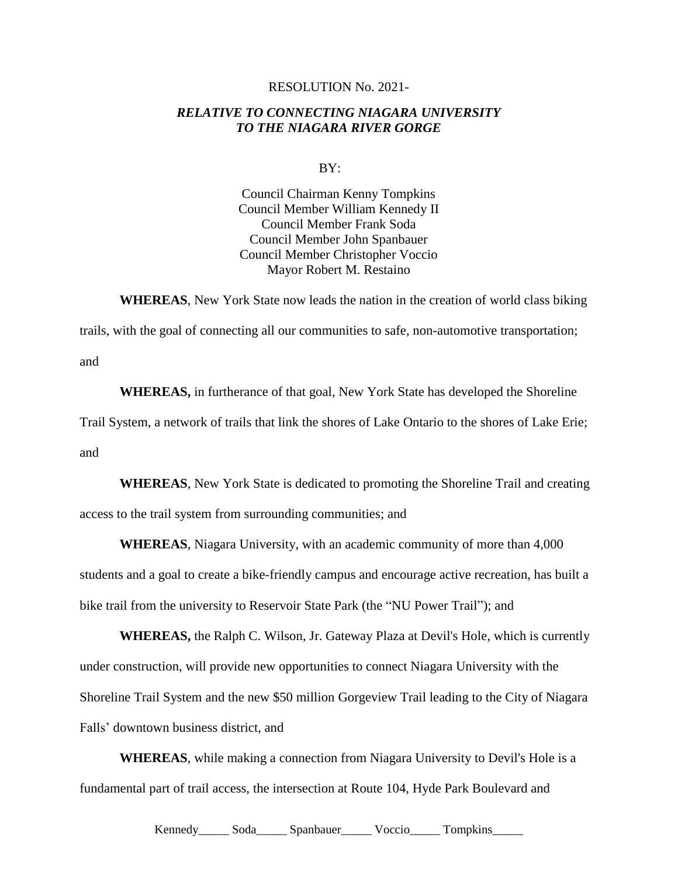## RESOLUTION No. 2021-

## *RELATIVE TO CONNECTING NIAGARA UNIVERSITY TO THE NIAGARA RIVER GORGE*

BY:

Council Chairman Kenny Tompkins Council Member William Kennedy II Council Member Frank Soda Council Member John Spanbauer Council Member Christopher Voccio Mayor Robert M. Restaino

**WHEREAS**, New York State now leads the nation in the creation of world class biking

trails, with the goal of connecting all our communities to safe, non-automotive transportation; and

**WHEREAS,** in furtherance of that goal, New York State has developed the Shoreline Trail System, a network of trails that link the shores of Lake Ontario to the shores of Lake Erie; and

**WHEREAS**, New York State is dedicated to promoting the Shoreline Trail and creating access to the trail system from surrounding communities; and

**WHEREAS**, Niagara University, with an academic community of more than 4,000 students and a goal to create a bike-friendly campus and encourage active recreation, has built a bike trail from the university to Reservoir State Park (the "NU Power Trail"); and

**WHEREAS,** the Ralph C. Wilson, Jr. Gateway Plaza at Devil's Hole, which is currently under construction, will provide new opportunities to connect Niagara University with the Shoreline Trail System and the new \$50 million Gorgeview Trail leading to the City of Niagara Falls' downtown business district, and

**WHEREAS**, while making a connection from Niagara University to Devil's Hole is a fundamental part of trail access, the intersection at Route 104, Hyde Park Boulevard and

Kennedy\_\_\_\_\_\_ Soda\_\_\_\_\_\_ Spanbauer\_\_\_\_\_\_ Voccio\_\_\_\_\_\_ Tompkins\_\_\_\_\_\_